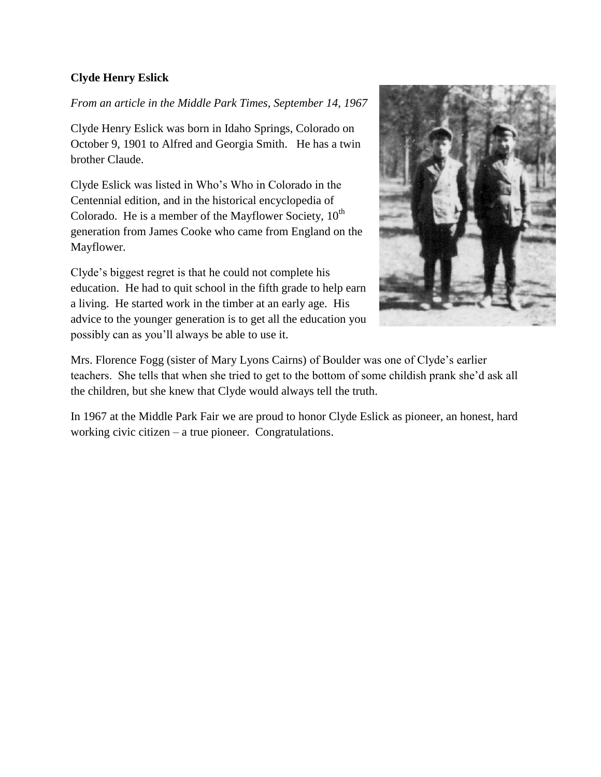## **Clyde Henry Eslick**

*From an article in the Middle Park Times, September 14, 1967*

Clyde Henry Eslick was born in Idaho Springs, Colorado on October 9, 1901 to Alfred and Georgia Smith. He has a twin brother Claude.

Clyde Eslick was listed in Who's Who in Colorado in the Centennial edition, and in the historical encyclopedia of Colorado. He is a member of the Mayflower Society,  $10^{th}$ generation from James Cooke who came from England on the Mayflower.

Clyde's biggest regret is that he could not complete his education. He had to quit school in the fifth grade to help earn a living. He started work in the timber at an early age. His advice to the younger generation is to get all the education you possibly can as you'll always be able to use it.



Mrs. Florence Fogg (sister of Mary Lyons Cairns) of Boulder was one of Clyde's earlier teachers. She tells that when she tried to get to the bottom of some childish prank she'd ask all the children, but she knew that Clyde would always tell the truth.

In 1967 at the Middle Park Fair we are proud to honor Clyde Eslick as pioneer, an honest, hard working civic citizen – a true pioneer. Congratulations.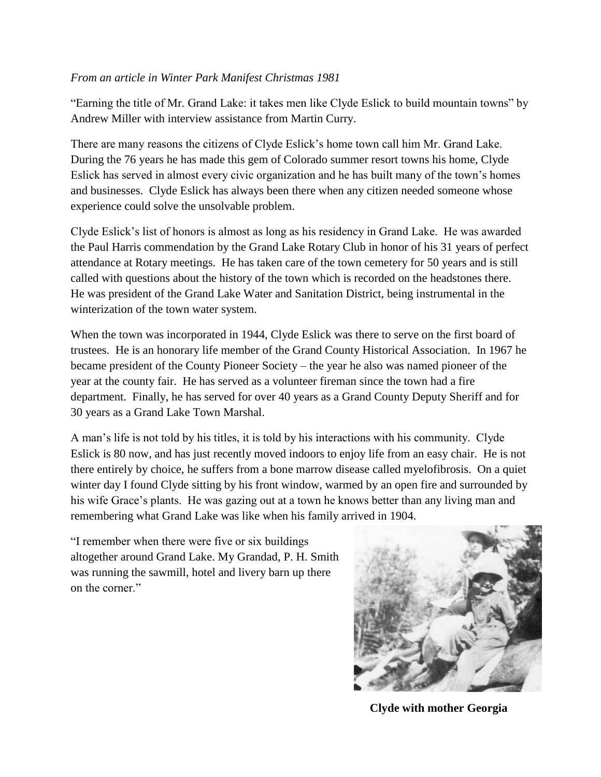## *From an article in Winter Park Manifest Christmas 1981*

"Earning the title of Mr. Grand Lake: it takes men like Clyde Eslick to build mountain towns" by Andrew Miller with interview assistance from Martin Curry.

There are many reasons the citizens of Clyde Eslick's home town call him Mr. Grand Lake. During the 76 years he has made this gem of Colorado summer resort towns his home, Clyde Eslick has served in almost every civic organization and he has built many of the town's homes and businesses. Clyde Eslick has always been there when any citizen needed someone whose experience could solve the unsolvable problem.

Clyde Eslick's list of honors is almost as long as his residency in Grand Lake. He was awarded the Paul Harris commendation by the Grand Lake Rotary Club in honor of his 31 years of perfect attendance at Rotary meetings. He has taken care of the town cemetery for 50 years and is still called with questions about the history of the town which is recorded on the headstones there. He was president of the Grand Lake Water and Sanitation District, being instrumental in the winterization of the town water system.

When the town was incorporated in 1944, Clyde Eslick was there to serve on the first board of trustees. He is an honorary life member of the Grand County Historical Association. In 1967 he became president of the County Pioneer Society – the year he also was named pioneer of the year at the county fair. He has served as a volunteer fireman since the town had a fire department. Finally, he has served for over 40 years as a Grand County Deputy Sheriff and for 30 years as a Grand Lake Town Marshal.

A man's life is not told by his titles, it is told by his interactions with his community. Clyde Eslick is 80 now, and has just recently moved indoors to enjoy life from an easy chair. He is not there entirely by choice, he suffers from a bone marrow disease called myelofibrosis. On a quiet winter day I found Clyde sitting by his front window, warmed by an open fire and surrounded by his wife Grace's plants. He was gazing out at a town he knows better than any living man and remembering what Grand Lake was like when his family arrived in 1904.

"I remember when there were five or six buildings altogether around Grand Lake. My Grandad, P. H. Smith was running the sawmill, hotel and livery barn up there on the corner."



**Clyde with mother Georgia**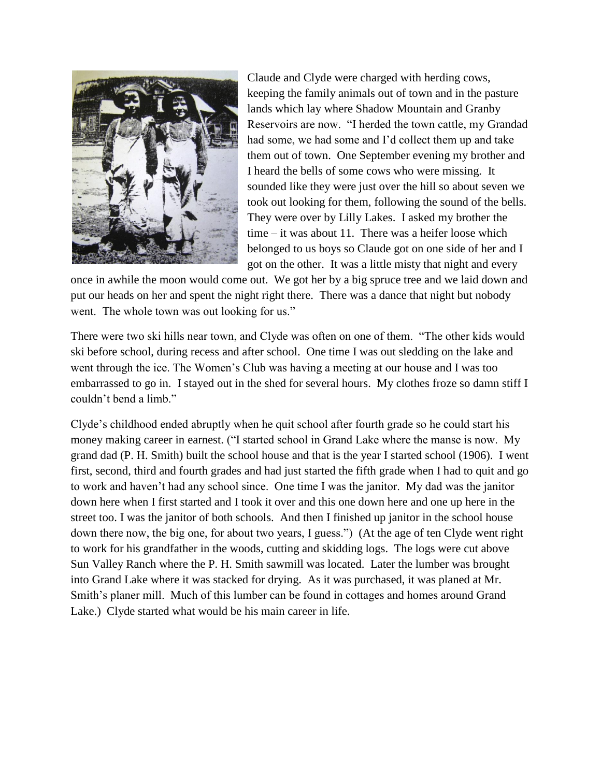

Claude and Clyde were charged with herding cows, keeping the family animals out of town and in the pasture lands which lay where Shadow Mountain and Granby Reservoirs are now. "I herded the town cattle, my Grandad had some, we had some and I'd collect them up and take them out of town. One September evening my brother and I heard the bells of some cows who were missing. It sounded like they were just over the hill so about seven we took out looking for them, following the sound of the bells. They were over by Lilly Lakes. I asked my brother the time – it was about 11. There was a heifer loose which belonged to us boys so Claude got on one side of her and I got on the other. It was a little misty that night and every

once in awhile the moon would come out. We got her by a big spruce tree and we laid down and put our heads on her and spent the night right there. There was a dance that night but nobody went. The whole town was out looking for us."

There were two ski hills near town, and Clyde was often on one of them. "The other kids would ski before school, during recess and after school. One time I was out sledding on the lake and went through the ice. The Women's Club was having a meeting at our house and I was too embarrassed to go in. I stayed out in the shed for several hours. My clothes froze so damn stiff I couldn't bend a limb."

Clyde's childhood ended abruptly when he quit school after fourth grade so he could start his money making career in earnest. ("I started school in Grand Lake where the manse is now. My grand dad (P. H. Smith) built the school house and that is the year I started school (1906). I went first, second, third and fourth grades and had just started the fifth grade when I had to quit and go to work and haven't had any school since. One time I was the janitor. My dad was the janitor down here when I first started and I took it over and this one down here and one up here in the street too. I was the janitor of both schools. And then I finished up janitor in the school house down there now, the big one, for about two years, I guess.") (At the age of ten Clyde went right to work for his grandfather in the woods, cutting and skidding logs. The logs were cut above Sun Valley Ranch where the P. H. Smith sawmill was located. Later the lumber was brought into Grand Lake where it was stacked for drying. As it was purchased, it was planed at Mr. Smith's planer mill. Much of this lumber can be found in cottages and homes around Grand Lake.) Clyde started what would be his main career in life.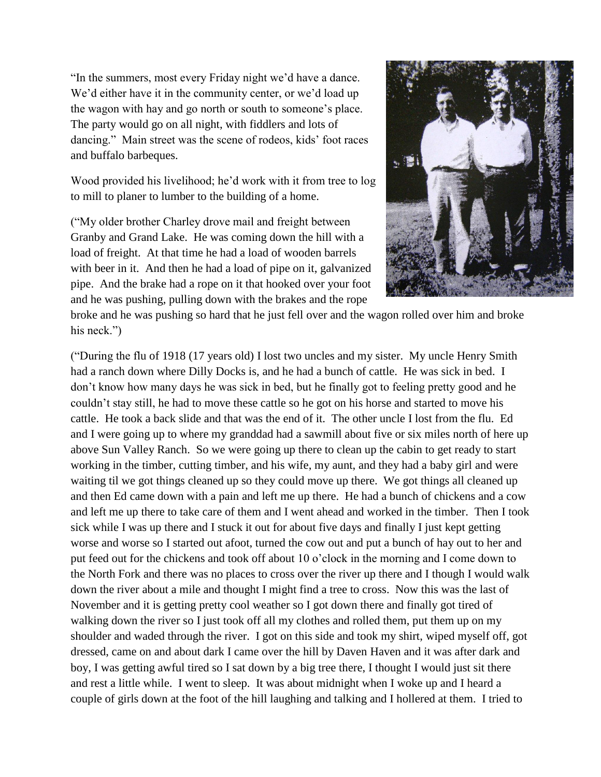"In the summers, most every Friday night we'd have a dance. We'd either have it in the community center, or we'd load up the wagon with hay and go north or south to someone's place. The party would go on all night, with fiddlers and lots of dancing." Main street was the scene of rodeos, kids' foot races and buffalo barbeques.

Wood provided his livelihood; he'd work with it from tree to log to mill to planer to lumber to the building of a home.

("My older brother Charley drove mail and freight between Granby and Grand Lake. He was coming down the hill with a load of freight. At that time he had a load of wooden barrels with beer in it. And then he had a load of pipe on it, galvanized pipe. And the brake had a rope on it that hooked over your foot and he was pushing, pulling down with the brakes and the rope



broke and he was pushing so hard that he just fell over and the wagon rolled over him and broke his neck.")

("During the flu of 1918 (17 years old) I lost two uncles and my sister. My uncle Henry Smith had a ranch down where Dilly Docks is, and he had a bunch of cattle. He was sick in bed. I don't know how many days he was sick in bed, but he finally got to feeling pretty good and he couldn't stay still, he had to move these cattle so he got on his horse and started to move his cattle. He took a back slide and that was the end of it. The other uncle I lost from the flu. Ed and I were going up to where my granddad had a sawmill about five or six miles north of here up above Sun Valley Ranch. So we were going up there to clean up the cabin to get ready to start working in the timber, cutting timber, and his wife, my aunt, and they had a baby girl and were waiting til we got things cleaned up so they could move up there. We got things all cleaned up and then Ed came down with a pain and left me up there. He had a bunch of chickens and a cow and left me up there to take care of them and I went ahead and worked in the timber. Then I took sick while I was up there and I stuck it out for about five days and finally I just kept getting worse and worse so I started out afoot, turned the cow out and put a bunch of hay out to her and put feed out for the chickens and took off about 10 o'clock in the morning and I come down to the North Fork and there was no places to cross over the river up there and I though I would walk down the river about a mile and thought I might find a tree to cross. Now this was the last of November and it is getting pretty cool weather so I got down there and finally got tired of walking down the river so I just took off all my clothes and rolled them, put them up on my shoulder and waded through the river. I got on this side and took my shirt, wiped myself off, got dressed, came on and about dark I came over the hill by Daven Haven and it was after dark and boy, I was getting awful tired so I sat down by a big tree there, I thought I would just sit there and rest a little while. I went to sleep. It was about midnight when I woke up and I heard a couple of girls down at the foot of the hill laughing and talking and I hollered at them. I tried to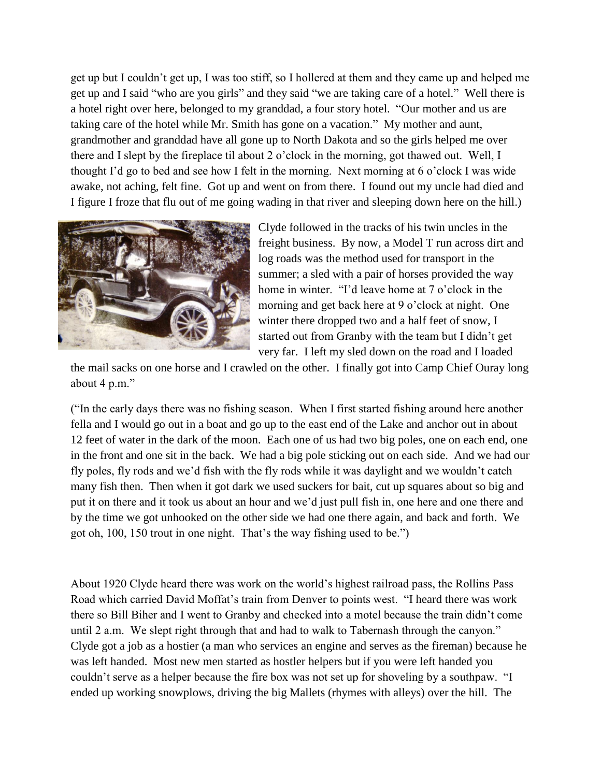get up but I couldn't get up, I was too stiff, so I hollered at them and they came up and helped me get up and I said "who are you girls" and they said "we are taking care of a hotel." Well there is a hotel right over here, belonged to my granddad, a four story hotel. "Our mother and us are taking care of the hotel while Mr. Smith has gone on a vacation." My mother and aunt, grandmother and granddad have all gone up to North Dakota and so the girls helped me over there and I slept by the fireplace til about 2 o'clock in the morning, got thawed out. Well, I thought I'd go to bed and see how I felt in the morning. Next morning at 6 o'clock I was wide awake, not aching, felt fine. Got up and went on from there. I found out my uncle had died and I figure I froze that flu out of me going wading in that river and sleeping down here on the hill.)



Clyde followed in the tracks of his twin uncles in the freight business. By now, a Model T run across dirt and log roads was the method used for transport in the summer; a sled with a pair of horses provided the way home in winter. "I'd leave home at 7 o'clock in the morning and get back here at 9 o'clock at night. One winter there dropped two and a half feet of snow, I started out from Granby with the team but I didn't get very far. I left my sled down on the road and I loaded

the mail sacks on one horse and I crawled on the other. I finally got into Camp Chief Ouray long about 4 p.m."

("In the early days there was no fishing season. When I first started fishing around here another fella and I would go out in a boat and go up to the east end of the Lake and anchor out in about 12 feet of water in the dark of the moon. Each one of us had two big poles, one on each end, one in the front and one sit in the back. We had a big pole sticking out on each side. And we had our fly poles, fly rods and we'd fish with the fly rods while it was daylight and we wouldn't catch many fish then. Then when it got dark we used suckers for bait, cut up squares about so big and put it on there and it took us about an hour and we'd just pull fish in, one here and one there and by the time we got unhooked on the other side we had one there again, and back and forth. We got oh, 100, 150 trout in one night. That's the way fishing used to be.")

About 1920 Clyde heard there was work on the world's highest railroad pass, the Rollins Pass Road which carried David Moffat's train from Denver to points west. "I heard there was work there so Bill Biher and I went to Granby and checked into a motel because the train didn't come until 2 a.m. We slept right through that and had to walk to Tabernash through the canyon." Clyde got a job as a hostier (a man who services an engine and serves as the fireman) because he was left handed. Most new men started as hostler helpers but if you were left handed you couldn't serve as a helper because the fire box was not set up for shoveling by a southpaw. "I ended up working snowplows, driving the big Mallets (rhymes with alleys) over the hill. The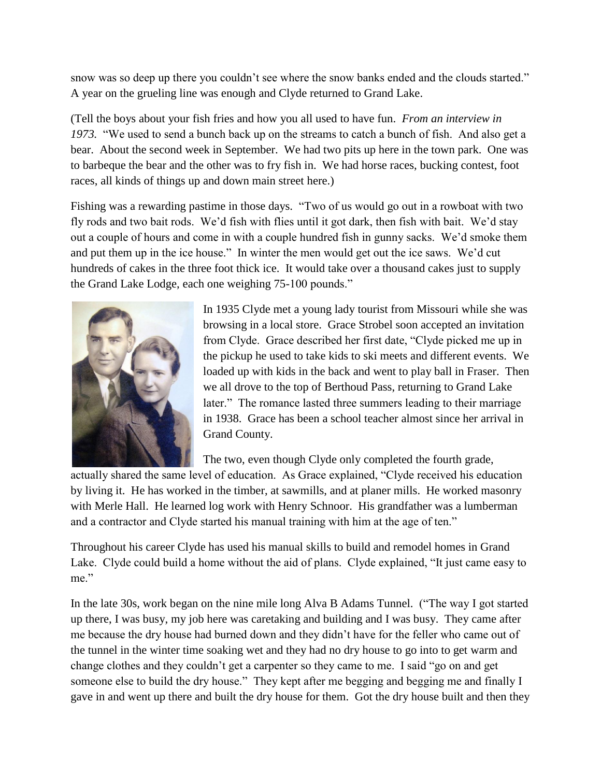snow was so deep up there you couldn't see where the snow banks ended and the clouds started." A year on the grueling line was enough and Clyde returned to Grand Lake.

(Tell the boys about your fish fries and how you all used to have fun. *From an interview in 1973.* "We used to send a bunch back up on the streams to catch a bunch of fish. And also get a bear. About the second week in September. We had two pits up here in the town park. One was to barbeque the bear and the other was to fry fish in. We had horse races, bucking contest, foot races, all kinds of things up and down main street here.)

Fishing was a rewarding pastime in those days. "Two of us would go out in a rowboat with two fly rods and two bait rods. We'd fish with flies until it got dark, then fish with bait. We'd stay out a couple of hours and come in with a couple hundred fish in gunny sacks. We'd smoke them and put them up in the ice house." In winter the men would get out the ice saws. We'd cut hundreds of cakes in the three foot thick ice. It would take over a thousand cakes just to supply the Grand Lake Lodge, each one weighing 75-100 pounds."



In 1935 Clyde met a young lady tourist from Missouri while she was browsing in a local store. Grace Strobel soon accepted an invitation from Clyde. Grace described her first date, "Clyde picked me up in the pickup he used to take kids to ski meets and different events. We loaded up with kids in the back and went to play ball in Fraser. Then we all drove to the top of Berthoud Pass, returning to Grand Lake later." The romance lasted three summers leading to their marriage in 1938. Grace has been a school teacher almost since her arrival in Grand County.

The two, even though Clyde only completed the fourth grade,

actually shared the same level of education. As Grace explained, "Clyde received his education by living it. He has worked in the timber, at sawmills, and at planer mills. He worked masonry with Merle Hall. He learned log work with Henry Schnoor. His grandfather was a lumberman and a contractor and Clyde started his manual training with him at the age of ten."

Throughout his career Clyde has used his manual skills to build and remodel homes in Grand Lake. Clyde could build a home without the aid of plans. Clyde explained, "It just came easy to me."

In the late 30s, work began on the nine mile long Alva B Adams Tunnel. ("The way I got started up there, I was busy, my job here was caretaking and building and I was busy. They came after me because the dry house had burned down and they didn't have for the feller who came out of the tunnel in the winter time soaking wet and they had no dry house to go into to get warm and change clothes and they couldn't get a carpenter so they came to me. I said "go on and get someone else to build the dry house." They kept after me begging and begging me and finally I gave in and went up there and built the dry house for them. Got the dry house built and then they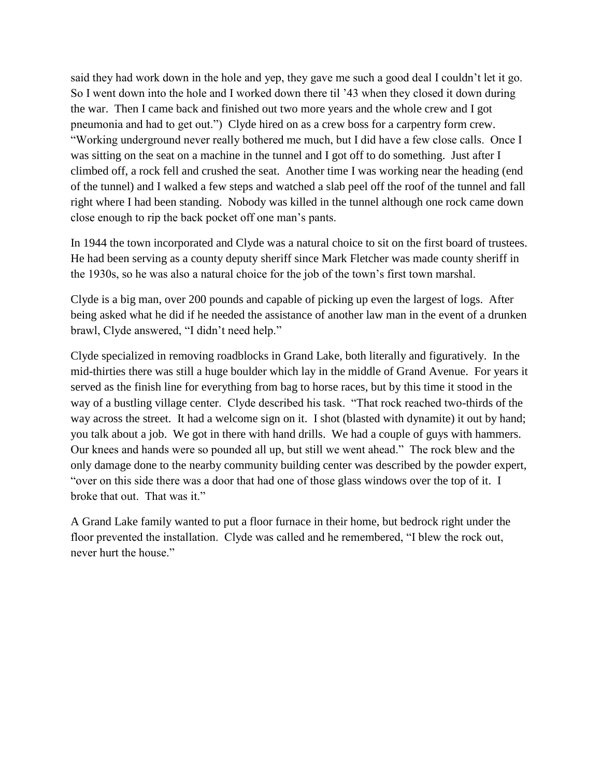said they had work down in the hole and yep, they gave me such a good deal I couldn't let it go. So I went down into the hole and I worked down there til '43 when they closed it down during the war. Then I came back and finished out two more years and the whole crew and I got pneumonia and had to get out.") Clyde hired on as a crew boss for a carpentry form crew. "Working underground never really bothered me much, but I did have a few close calls. Once I was sitting on the seat on a machine in the tunnel and I got off to do something. Just after I climbed off, a rock fell and crushed the seat. Another time I was working near the heading (end of the tunnel) and I walked a few steps and watched a slab peel off the roof of the tunnel and fall right where I had been standing. Nobody was killed in the tunnel although one rock came down close enough to rip the back pocket off one man's pants.

In 1944 the town incorporated and Clyde was a natural choice to sit on the first board of trustees. He had been serving as a county deputy sheriff since Mark Fletcher was made county sheriff in the 1930s, so he was also a natural choice for the job of the town's first town marshal.

Clyde is a big man, over 200 pounds and capable of picking up even the largest of logs. After being asked what he did if he needed the assistance of another law man in the event of a drunken brawl, Clyde answered, "I didn't need help."

Clyde specialized in removing roadblocks in Grand Lake, both literally and figuratively. In the mid-thirties there was still a huge boulder which lay in the middle of Grand Avenue. For years it served as the finish line for everything from bag to horse races, but by this time it stood in the way of a bustling village center. Clyde described his task. "That rock reached two-thirds of the way across the street. It had a welcome sign on it. I shot (blasted with dynamite) it out by hand; you talk about a job. We got in there with hand drills. We had a couple of guys with hammers. Our knees and hands were so pounded all up, but still we went ahead." The rock blew and the only damage done to the nearby community building center was described by the powder expert, "over on this side there was a door that had one of those glass windows over the top of it. I broke that out. That was it."

A Grand Lake family wanted to put a floor furnace in their home, but bedrock right under the floor prevented the installation. Clyde was called and he remembered, "I blew the rock out, never hurt the house."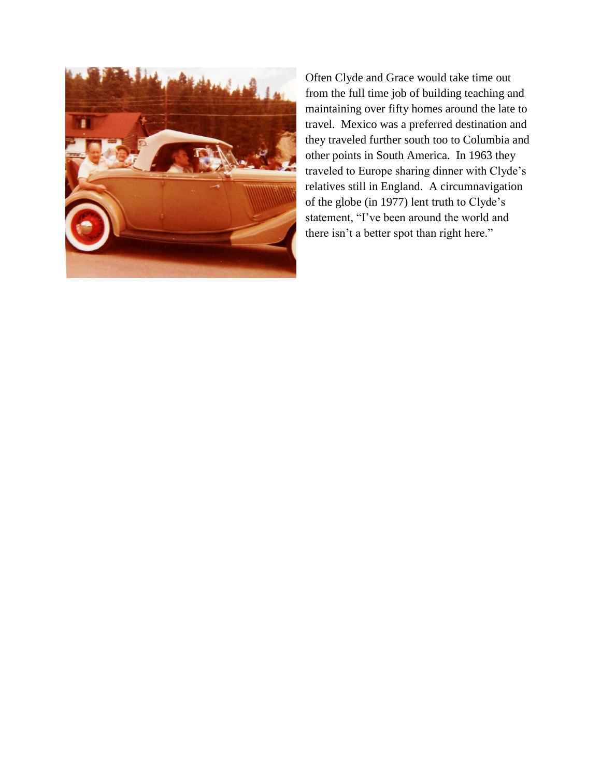

Often Clyde and Grace would take time out from the full time job of building teaching and maintaining over fifty homes around the late to travel. Mexico was a preferred destination and they traveled further south too to Columbia and other points in South America. In 1963 they traveled to Europe sharing dinner with Clyde's relatives still in England. A circumnavigation of the globe (in 1977) lent truth to Clyde's statement, "I've been around the world and there isn't a better spot than right here."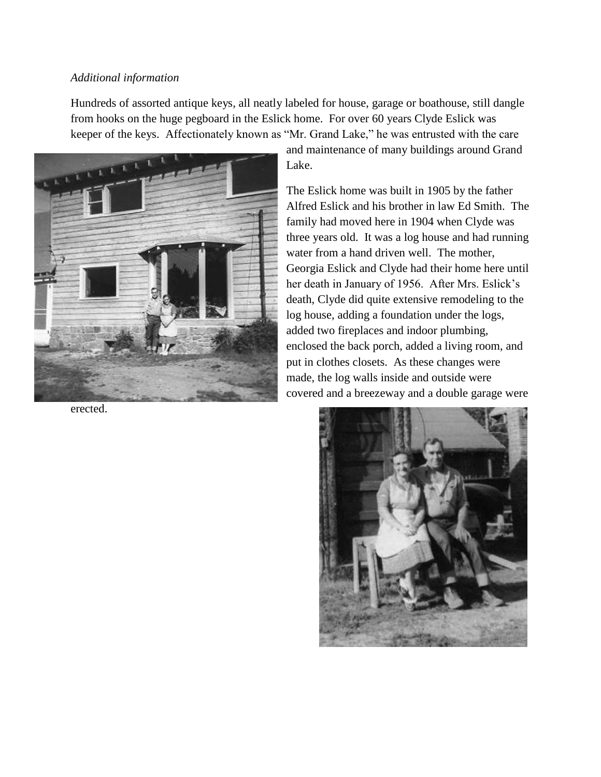#### *Additional information*

Hundreds of assorted antique keys, all neatly labeled for house, garage or boathouse, still dangle from hooks on the huge pegboard in the Eslick home. For over 60 years Clyde Eslick was keeper of the keys. Affectionately known as "Mr. Grand Lake," he was entrusted with the care



erected.

and maintenance of many buildings around Grand Lake.

The Eslick home was built in 1905 by the father Alfred Eslick and his brother in law Ed Smith. The family had moved here in 1904 when Clyde was three years old. It was a log house and had running water from a hand driven well. The mother, Georgia Eslick and Clyde had their home here until her death in January of 1956. After Mrs. Eslick's death, Clyde did quite extensive remodeling to the log house, adding a foundation under the logs, added two fireplaces and indoor plumbing, enclosed the back porch, added a living room, and put in clothes closets. As these changes were made, the log walls inside and outside were covered and a breezeway and a double garage were

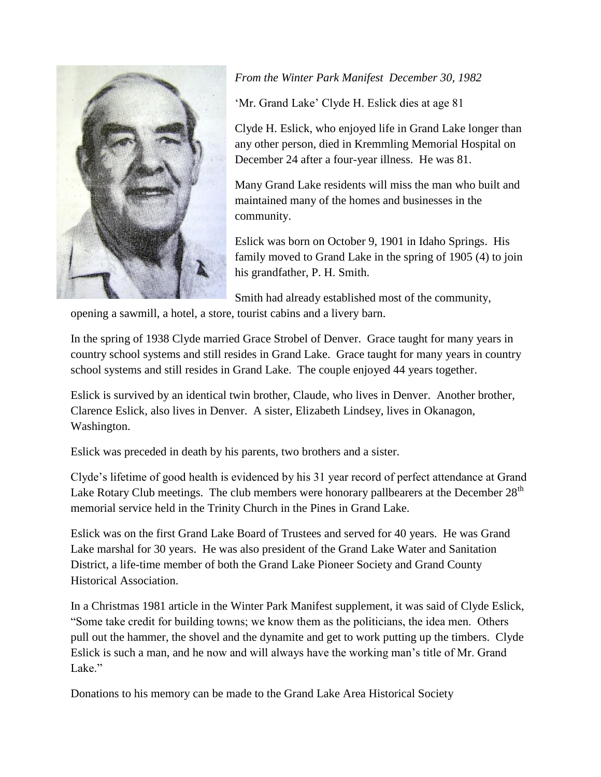

# *From the Winter Park Manifest December 30, 1982*

'Mr. Grand Lake' Clyde H. Eslick dies at age 81

Clyde H. Eslick, who enjoyed life in Grand Lake longer than any other person, died in Kremmling Memorial Hospital on December 24 after a four-year illness. He was 81.

Many Grand Lake residents will miss the man who built and maintained many of the homes and businesses in the community.

Eslick was born on October 9, 1901 in Idaho Springs. His family moved to Grand Lake in the spring of 1905 (4) to join his grandfather, P. H. Smith.

Smith had already established most of the community,

opening a sawmill, a hotel, a store, tourist cabins and a livery barn.

In the spring of 1938 Clyde married Grace Strobel of Denver. Grace taught for many years in country school systems and still resides in Grand Lake. Grace taught for many years in country school systems and still resides in Grand Lake. The couple enjoyed 44 years together.

Eslick is survived by an identical twin brother, Claude, who lives in Denver. Another brother, Clarence Eslick, also lives in Denver. A sister, Elizabeth Lindsey, lives in Okanagon, Washington.

Eslick was preceded in death by his parents, two brothers and a sister.

Clyde's lifetime of good health is evidenced by his 31 year record of perfect attendance at Grand Lake Rotary Club meetings. The club members were honorary pallbearers at the December  $28<sup>th</sup>$ memorial service held in the Trinity Church in the Pines in Grand Lake.

Eslick was on the first Grand Lake Board of Trustees and served for 40 years. He was Grand Lake marshal for 30 years. He was also president of the Grand Lake Water and Sanitation District, a life-time member of both the Grand Lake Pioneer Society and Grand County Historical Association.

In a Christmas 1981 article in the Winter Park Manifest supplement, it was said of Clyde Eslick, "Some take credit for building towns; we know them as the politicians, the idea men. Others pull out the hammer, the shovel and the dynamite and get to work putting up the timbers. Clyde Eslick is such a man, and he now and will always have the working man's title of Mr. Grand Lake."

Donations to his memory can be made to the Grand Lake Area Historical Society